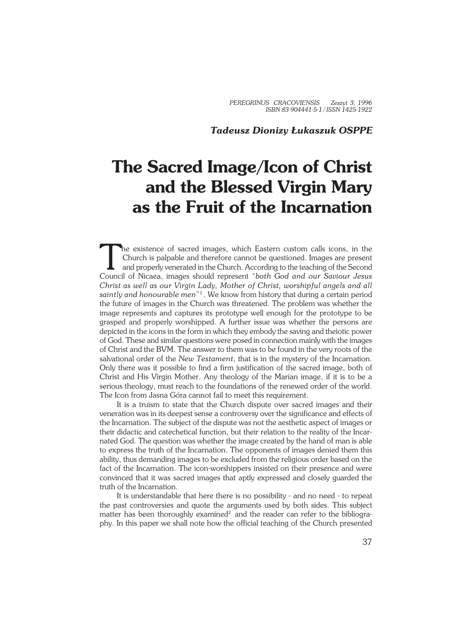#### *Tadeusz Dionizy Łukaszuk OSPPE*

# **The Sacred Image/Icon of Christ and the Blessed Virgin Mary as the Fruit of the Incarnation**

The existence of sacred images, which Eastern custom calls icons, in the Church is palpable and therefore cannot be questioned. Images are present and properly venerated in the Church. According to the teaching of the Seco he existence of sacred images, which Eastern custom calls icons, in the Church is palpable and therefore cannot be questioned. Images are present and properly venerated in the Church. According to the teaching of the Second *Christ as well as our Virgin Lady, Mother of Christ, worshipful angels and all saintly and honourable men*" 1 . We know from history that during a certain period the future of images in the Church was threatened. The problem was whether the image represents and captures its prototype well enough for the prototype to be grasped and properly worshipped. A further issue was whether the persons are depicted in the icons in the form in which they embody the saving and theiotic power of God. These and similar questions were posed in connection mainly with the images of Christ and the BVM. The answer to them was to be found in the very roots of the salvational order of the *New Testament*, that is in the mystery of the Incarnation. Only there was it possible to find a firm justification of the sacred image, both of Christ and His Virgin Mother. Any theology of the Marian image, if it is to be a serious theology, must reach to the foundations of the renewed order of the world. The Icon from Jasna Góra cannot fail to meet this requirement.

It is a truism to state that the Church dispute over sacred images and their veneration was in its deepest sense a controversy over the significance and effects of the Incarnation. The subject of the dispute was not the aesthetic aspect of images or their didactic and catechetical function, but their relation to the reality of the Incar− nated God. The question was whether the image created by the hand of man is able to express the truth of the Incarnation. The opponents of images denied them this ability, thus demanding images to be excluded from the religious order based on the fact of the Incarnation. The icon−worshippers insisted on their presence and were convinced that it was sacred images that aptly expressed and closely guarded the truth of the Incarnation.

It is understandable that here there is no possibility − and no need − to repeat the past controversies and quote the arguments used by both sides. This subject matter has been thoroughly examined<sup>2</sup> and the reader can refer to the bibliography. In this paper we shall note how the official teaching of the Church presented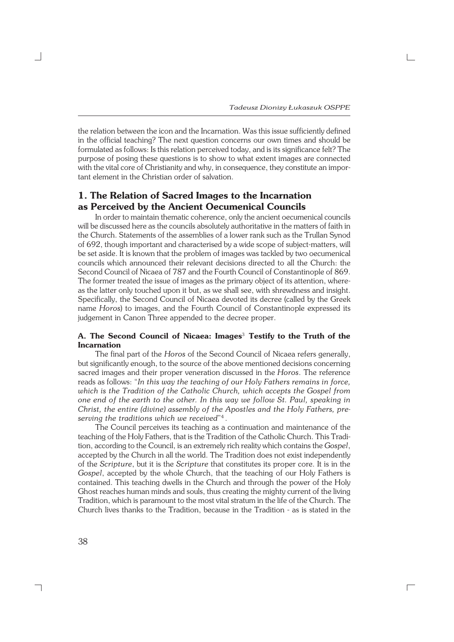the relation between the icon and the Incarnation. Was this issue sufficiently defined in the official teaching? The next question concerns our own times and should be formulated as follows: Is this relation perceived today, and is its significance felt? The purpose of posing these questions is to show to what extent images are connected with the vital core of Christianity and why, in consequence, they constitute an impor− tant element in the Christian order of salvation.

## **1. The Relation of Sacred Images to the Incarnation as Perceived by the Ancient Oecumenical Councils**

In order to maintain thematic coherence, only the ancient oecumenical councils will be discussed here as the councils absolutely authoritative in the matters of faith in the Church. Statements of the assemblies of a lower rank such as the Trullan Synod of 692, though important and characterised by a wide scope of subject−matters, will be set aside. It is known that the problem of images was tackled by two oecumenical councils which announced their relevant decisions directed to all the Church: the Second Council of Nicaea of 787 and the Fourth Council of Constantinople of 869. The former treated the issue of images as the primary object of its attention, where− as the latter only touched upon it but, as we shall see, with shrewdness and insight. Specifically, the Second Council of Nicaea devoted its decree (called by the Greek name *Horos*) to images, and the Fourth Council of Constantinople expressed its judgement in Canon Three appended to the decree proper.

#### **A. The Second Council of Nicaea: Images**<sup>3</sup>  **Testify to the Truth of the Incarnation**

The final part of the *Horos* of the Second Council of Nicaea refers generally, but significantly enough, to the source of the above mentioned decisions concerning sacred images and their proper veneration discussed in the *Horos*. The reference reads as follows: "*In this way the teaching of our Holy Fathers remains in force, which is the Tradition of the Catholic Church, which accepts the Gospel from one end of the earth to the other. In this way we follow St. Paul, speaking in Christ, the entire (divine) assembly of the Apostles and the Holy Fathers, pre− serving the traditions which we received*" 4 .

The Council perceives its teaching as a continuation and maintenance of the teaching of the Holy Fathers, that is the Tradition of the Catholic Church. This Tradi− tion, according to the Council, is an extremely rich reality which contains the *Gospel*, accepted by the Church in all the world. The Tradition does not exist independently of the *Scripture*, but it is the *Scripture* that constitutes its proper core. It is in the *Gospel*, accepted by the whole Church, that the teaching of our Holy Fathers is contained. This teaching dwells in the Church and through the power of the Holy Ghost reaches human minds and souls, thus creating the mighty current of the living Tradition, which is paramount to the most vital stratum in the life of the Church. The Church lives thanks to the Tradition, because in the Tradition − as is stated in the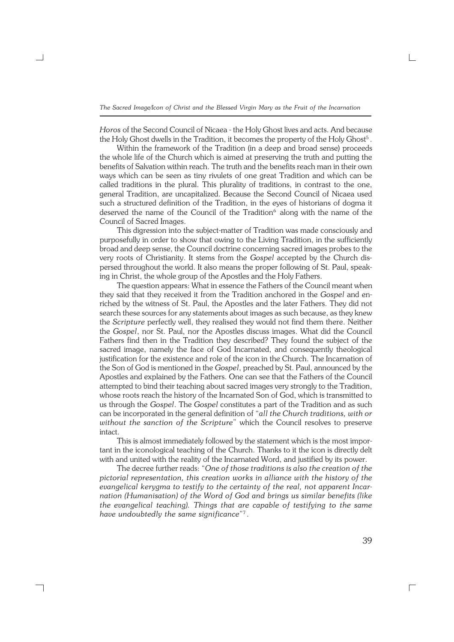*Horos* of the Second Council of Nicaea − the Holy Ghost lives and acts. And because the Holy Ghost dwells in the Tradition, it becomes the property of the Holy Ghost<sup>5</sup> .

Within the framework of the Tradition (in a deep and broad sense) proceeds the whole life of the Church which is aimed at preserving the truth and putting the benefits of Salvation within reach. The truth and the benefits reach man in their own ways which can be seen as tiny rivulets of one great Tradition and which can be called traditions in the plural. This plurality of traditions, in contrast to the one, general Tradition, are uncapitalized. Because the Second Council of Nicaea used such a structured definition of the Tradition, in the eyes of historians of dogma it deserved the name of the Council of the Tradition<sup>6</sup> along with the name of the Council of Sacred Images.

This digression into the subject−matter of Tradition was made consciously and purposefully in order to show that owing to the Living Tradition, in the sufficiently broad and deep sense, the Council doctrine concerning sacred images probes to the very roots of Christianity. It stems from the *Gospel* accepted by the Church dis− persed throughout the world. It also means the proper following of St. Paul, speak− ing in Christ, the whole group of the Apostles and the Holy Fathers.

The question appears: What in essence the Fathers of the Council meant when they said that they received it from the Tradition anchored in the *Gospel* and en− riched by the witness of St. Paul, the Apostles and the later Fathers. They did not search these sources for any statements about images as such because, as they knew the *Scripture* perfectly well, they realised they would not find them there. Neither the *Gospel*, nor St. Paul, nor the Apostles discuss images. What did the Council Fathers find then in the Tradition they described? They found the subject of the sacred image, namely the face of God Incarnated, and consequently theological justification for the existence and role of the icon in the Church. The Incarnation of the Son of God is mentioned in the *Gospel*, preached by St. Paul, announced by the Apostles and explained by the Fathers. One can see that the Fathers of the Council attempted to bind their teaching about sacred images very strongly to the Tradition, whose roots reach the history of the Incarnated Son of God, which is transmitted to us through the *Gospel*. The *Gospel* constitutes a part of the Tradition and as such can be incorporated in the general definition of "*all the Church traditions, with or without the sanction of the Scripture*" which the Council resolves to preserve intact.

This is almost immediately followed by the statement which is the most impor− tant in the iconological teaching of the Church. Thanks to it the icon is directly delt with and united with the reality of the Incarnated Word, and justified by its power.

The decree further reads: "*One of those traditions is also the creation of the pictorial representation, this creation works in alliance with the history of the evangelical kerygma to testify to the certainty of the real, not apparent Incar− nation (Humanisation) of the Word of God and brings us similar benefits (like the evangelical teaching). Things that are capable of testifying to the same have undoubtedly the same significance*" 7 .

┐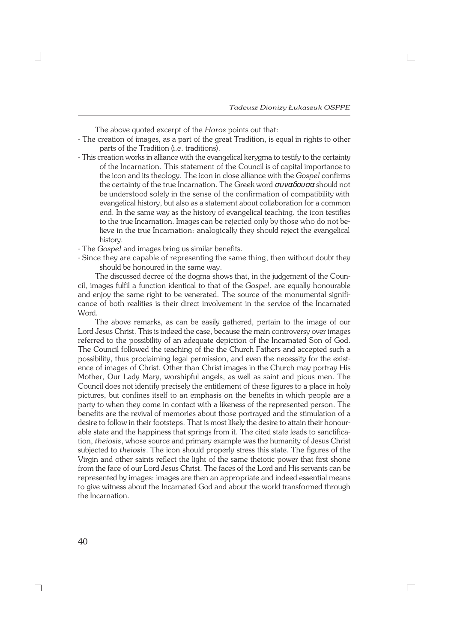The above quoted excerpt of the *Horos* points out that:

- − The creation of images, as a part of the great Tradition, is equal in rights to other parts of the Tradition (i.e. traditions).
- − This creation works in alliance with the evangelical kerygma to testify to the certainty of the Incarnation. This statement of the Council is of capital importance to the icon and its theology. The icon in close alliance with the *Gospel* confirms the certainty of the true Incarnation. The Greek word  $\sigma v v \alpha \delta v \sigma \alpha$  should not be understood solely in the sense of the confirmation of compatibility with evangelical history, but also as a statement about collaboration for a common end. In the same way as the history of evangelical teaching, the icon testifies to the true Incarnation. Images can be rejected only by those who do not be− lieve in the true Incarnation: analogically they should reject the evangelical history.

− The *Gospel* and images bring us similar benefits.

− Since they are capable of representing the same thing, then without doubt they should be honoured in the same way.

The discussed decree of the dogma shows that, in the judgement of the Coun− cil, images fulfil a function identical to that of the *Gospel*, are equally honourable and enjoy the same right to be venerated. The source of the monumental significance of both realities is their direct involvement in the service of the Incarnated Word.

The above remarks, as can be easily gathered, pertain to the image of our Lord Jesus Christ. This is indeed the case, because the main controversy over images referred to the possibility of an adequate depiction of the Incarnated Son of God. The Council followed the teaching of the the Church Fathers and accepted such a possibility, thus proclaiming legal permission, and even the necessity for the exist− ence of images of Christ. Other than Christ images in the Church may portray His Mother, Our Lady Mary, worshipful angels, as well as saint and pious men. The Council does not identify precisely the entitlement of these figures to a place in holy pictures, but confines itself to an emphasis on the benefits in which people are a party to when they come in contact with a likeness of the represented person. The benefits are the revival of memories about those portrayed and the stimulation of a desire to follow in their footsteps. That is most likely the desire to attain their honour− able state and the happiness that springs from it. The cited state leads to sanctifica− tion, *theiosis*, whose source and primary example was the humanity of Jesus Christ subjected to *theiosis*. The icon should properly stress this state. The figures of the Virgin and other saints reflect the light of the same theiotic power that first shone from the face of our Lord Jesus Christ. The faces of the Lord and His servants can be represented by images: images are then an appropriate and indeed essential means to give witness about the Incarnated God and about the world transformed through the Incarnation.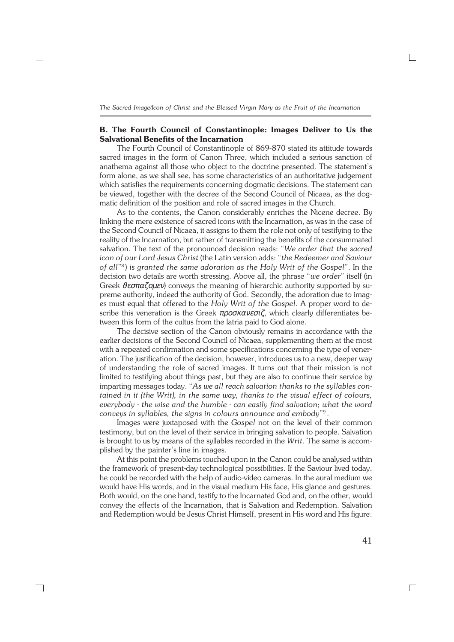#### **B. The Fourth Council of Constantinople: Images Deliver to Us the Salvational Benefits of the Incarnation**

The Fourth Council of Constantinople of 869−870 stated its attitude towards sacred images in the form of Canon Three, which included a serious sanction of anathema against all those who object to the doctrine presented. The statement's form alone, as we shall see, has some characteristics of an authoritative judgement which satisfies the requirements concerning dogmatic decisions. The statement can be viewed, together with the decree of the Second Council of Nicaea, as the dog− matic definition of the position and role of sacred images in the Church.

As to the contents, the Canon considerably enriches the Nicene decree. By linking the mere existence of sacred icons with the Incarnation, as was in the case of the Second Council of Nicaea, it assigns to them the role not only of testifying to the reality of the Incarnation, but rather of transmitting the benefits of the consummated salvation. The text of the pronounced decision reads: "*We order that the sacred icon of our Lord Jesus Christ* (the Latin version adds: "*the Redeemer and Saviour of all*" 8 ) *is granted the same adoration as the Holy Writ of the Gospel*". In the decision two details are worth stressing. Above all, the phrase "*we order*" itself (in Greek  $\theta \epsilon \sigma \pi \alpha \zeta \rho \mu \epsilon \nu$ ) conveys the meaning of hierarchic authority supported by supreme authority, indeed the authority of God. Secondly, the adoration due to imag− es must equal that offered to the *Holy Writ of the Gospel*. A proper word to de− scribe this veneration is the Greek προσκανεσιζ, which clearly differentiates between this form of the cultus from the latria paid to God alone.

The decisive section of the Canon obviously remains in accordance with the earlier decisions of the Second Council of Nicaea, supplementing them at the most with a repeated confirmation and some specifications concerning the type of vener− ation. The justification of the decision, however, introduces us to a new, deeper way of understanding the role of sacred images. It turns out that their mission is not limited to testifying about things past, but they are also to continue their service by imparting messages today. "*As we all reach salvation thanks to the syllables con− tained in it (the Writ), in the same way, thanks to the visual effect of colours, everybody − the wise and the humble − can easily find salvation; what the word conveys in syllables, the signs in colours announce and embody*" 9 .

Images were juxtaposed with the *Gospel* not on the level of their common testimony, but on the level of their service in bringing salvation to people. Salvation is brought to us by means of the syllables recorded in the *Writ*. The same is accom− plished by the painter's line in images.

At this point the problems touched upon in the Canon could be analysed within the framework of present−day technological possibilities. If the Saviour lived today, he could be recorded with the help of audio−video cameras. In the aural medium we would have His words, and in the visual medium His face, His glance and gestures. Both would, on the one hand, testify to the Incarnated God and, on the other, would convey the effects of the Incarnation, that is Salvation and Redemption. Salvation and Redemption would be Jesus Christ Himself, present in His word and His figure.

┐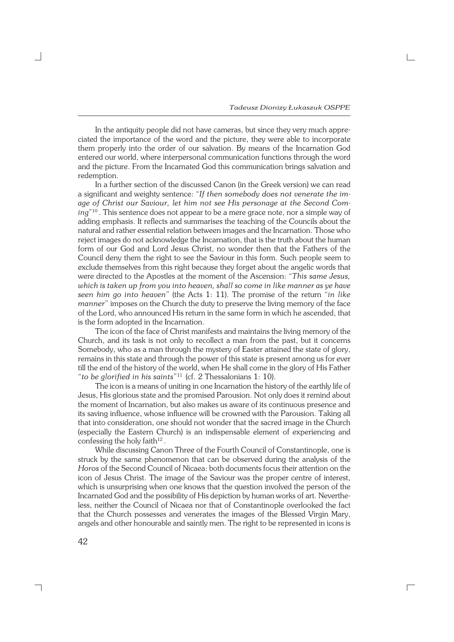In the antiquity people did not have cameras, but since they very much appre− ciated the importance of the word and the picture, they were able to incorporate them properly into the order of our salvation. By means of the Incarnation God entered our world, where interpersonal communication functions through the word and the picture. From the Incarnated God this communication brings salvation and redemption.

In a further section of the discussed Canon (in the Greek version) we can read a significant and weighty sentence: "*If then somebody does not venerate the im− age of Christ our Saviour, let him not see His personage at the Second Com− ing*" <sup>10</sup> . This sentence does not appear to be a mere grace note, nor a simple way of adding emphasis. It reflects and summarises the teaching of the Councils about the natural and rather essential relation between images and the Incarnation. Those who reject images do not acknowledge the Incarnation, that is the truth about the human form of our God and Lord Jesus Christ, no wonder then that the Fathers of the Council deny them the right to see the Saviour in this form. Such people seem to exclude themselves from this right because they forget about the angelic words that were directed to the Apostles at the moment of the Ascension: "*This same Jesus, which is taken up from you into heaven, shall so come in like manner as ye have seen him go into heaven*" (the Acts 1: 11). The promise of the return "*in like manner*" imposes on the Church the duty to preserve the living memory of the face of the Lord, who announced His return in the same form in which he ascended, that is the form adopted in the Incarnation.

The icon of the face of Christ manifests and maintains the living memory of the Church, and its task is not only to recollect a man from the past, but it concerns Somebody, who as a man through the mystery of Easter attained the state of glory, remains in this state and through the power of this state is present among us for ever till the end of the history of the world, when He shall come in the glory of His Father "*to be glorified in his saints*" <sup>11</sup> (cf. 2 Thessalonians 1: 10).

The icon is a means of uniting in one Incarnation the history of the earthly life of Jesus, His glorious state and the promised Parousion. Not only does it remind about the moment of Incarnation, but also makes us aware of its continuous presence and its saving influence, whose influence will be crowned with the Parousion. Taking all that into consideration, one should not wonder that the sacred image in the Church (especially the Eastern Church) is an indispensable element of experiencing and confessing the holy faith $12$ .

While discussing Canon Three of the Fourth Council of Constantinople, one is struck by the same phenomenon that can be observed during the analysis of the *Horos* of the Second Council of Nicaea: both documents focus their attention on the icon of Jesus Christ. The image of the Saviour was the proper centre of interest, which is unsurprising when one knows that the question involved the person of the Incarnated God and the possibility of His depiction by human works of art. Neverthe− less, neither the Council of Nicaea nor that of Constantinople overlooked the fact that the Church possesses and venerates the images of the Blessed Virgin Mary, angels and other honourable and saintly men. The right to be represented in icons is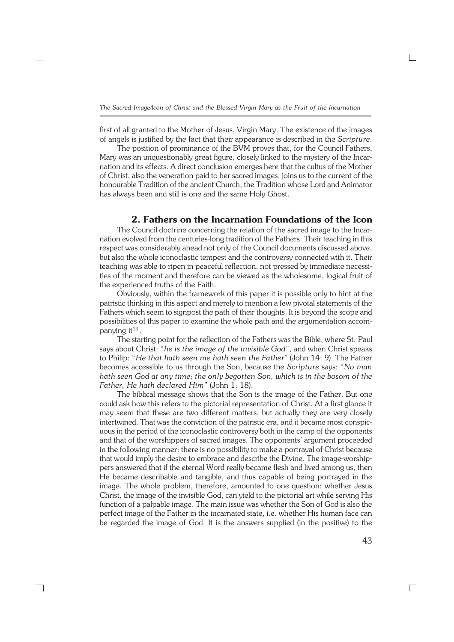first of all granted to the Mother of Jesus, Virgin Mary. The existence of the images of angels is justified by the fact that their appearance is described in the *Scripture*.

The position of prominance of the BVM proves that, for the Council Fathers, Mary was an unquestionably great figure, closely linked to the mystery of the Incar− nation and its effects. A direct conclusion emerges here that the cultus of the Mother of Christ, also the veneration paid to her sacred images, joins us to the current of the honourable Tradition of the ancient Church, the Tradition whose Lord and Animator has always been and still is one and the same Holy Ghost.

### **2. Fathers on the Incarnation Foundations of the Icon**

The Council doctrine concerning the relation of the sacred image to the Incar− nation evolved from the centuries−long tradition of the Fathers. Their teaching in this respect was considerably ahead not only of the Council documents discussed above, but also the whole iconoclastic tempest and the controversy connected with it. Their teaching was able to ripen in peaceful reflection, not pressed by immediate necessi− ties of the moment and therefore can be viewed as the wholesome, logical fruit of the experienced truths of the Faith.

Obviously, within the framework of this paper it is possible only to hint at the patristic thinking in this aspect and merely to mention a few pivotal statements of the Fathers which seem to signpost the path of their thoughts. It is beyond the scope and possibilities of this paper to examine the whole path and the argumentation accom− panying it $^{13}$  .

The starting point for the reflection of the Fathers was the Bible, where St. Paul says about Christ: "*he is the image of the invisible God*", and when Christ speaks to Philip: "*He that hath seen me hath seen the Father*" (John 14: 9). The Father becomes accessible to us through the Son, because the *Scripture* says: "*No man hath seen God at any time; the only begotten Son, which is in the bosom of the Father, He hath declared Him*" (John 1: 18).

The biblical message shows that the Son is the image of the Father. But one could ask how this refers to the pictorial representation of Christ. At a first glance it may seem that these are two different matters, but actually they are very closely intertwined. That was the conviction of the patristic era, and it became most conspic− uous in the period of the iconoclastic controversy both in the camp of the opponents and that of the worshippers of sacred images. The opponents' argument proceeded in the following manner: there is no possibility to make a portrayal of Christ because that would imply the desire to embrace and describe the Divine. The image−worship− pers answered that if the eternal Word really became flesh and lived among us, then He became describable and tangible, and thus capable of being portrayed in the image. The whole problem, therefore, amounted to one question: whether Jesus Christ, the image of the invisible God, can yield to the pictorial art while serving His function of a palpable image. The main issue was whether the Son of God is also the perfect image of the Father in the incarnated state, i.e. whether His human face can be regarded the image of God. It is the answers supplied (in the positive) to the

┑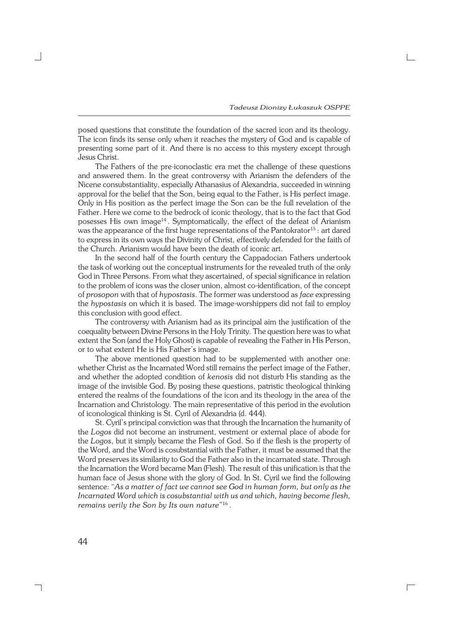posed questions that constitute the foundation of the sacred icon and its theology. The icon finds its sense only when it reaches the mystery of God and is capable of presenting some part of it. And there is no access to this mystery except through Jesus Christ.

The Fathers of the pre−iconoclastic era met the challenge of these questions and answered them. In the great controversy with Arianism the defenders of the Nicene consubstantiality, especially Athanasius of Alexandria, succeeded in winning approval for the belief that the Son, being equal to the Father, is His perfect image. Only in His position as the perfect image the Son can be the full revelation of the Father. Here we come to the bedrock of iconic theology, that is to the fact that God posesses His own image<sup>14</sup>. Symptomatically, the effect of the defeat of Arianism was the appearance of the first huge representations of the Pantokrator<sup>15</sup>: art dared to express in its own ways the Divinity of Christ, effectively defended for the faith of the Church. Arianism would have been the death of iconic art.

In the second half of the fourth century the Cappadocian Fathers undertook the task of working out the conceptual instruments for the revealed truth of the only God in Three Persons. From what they ascertained, of special significance in relation to the problem of icons was the closer union, almost co−identification, of the concept of *prosopon* with that of *hypostasis*. The former was understood as *face* expressing the *hypostasis* on which it is based. The image−worshippers did not fail to employ this conclusion with good effect.

The controversy with Arianism had as its principal aim the justification of the coequality between Divine Persons in the Holy Trinity. The question here was to what extent the Son (and the Holy Ghost) is capable of revealing the Father in His Person, or to what extent He is His Father's image.

The above mentioned question had to be supplemented with another one: whether Christ as the Incarnated Word still remains the perfect image of the Father, and whether the adopted condition of *kenosis* did not disturb His standing as the image of the invisible God. By posing these questions, patristic theological thinking entered the realms of the foundations of the icon and its theology in the area of the Incarnation and Christology. The main representative of this period in the evolution of iconological thinking is St. Cyril of Alexandria (d. 444).

St. Cyril's principal conviction was that through the Incarnation the humanity of the *Logos* did not become an instrument, vestment or external place of abode for the *Logos*, but it simply became the Flesh of God. So if the flesh is the property of the Word, and the Word is cosubstantial with the Father, it must be assumed that the Word preserves its similarity to God the Father also in the incarnated state. Through the Incarnation the Word became Man (Flesh). The result of this unification is that the human face of Jesus shone with the glory of God. In St. Cyril we find the following sentence: "*As a matter of fact we cannot see God in human form, but only as the Incarnated Word which is cosubstantial with us and which, having become flesh, remains verily the Son by Its own nature*" 16 .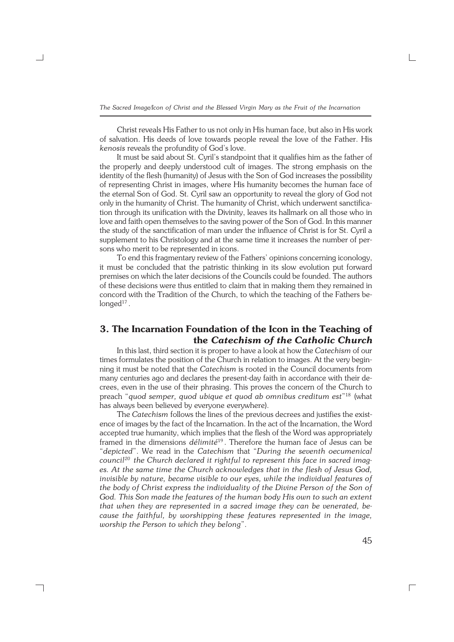Christ reveals His Father to us not only in His human face, but also in His work of salvation. His deeds of love towards people reveal the love of the Father. His *kenosis* reveals the profundity of God's love.

It must be said about St. Cyril's standpoint that it qualifies him as the father of the properly and deeply understood cult of images. The strong emphasis on the identity of the flesh (humanity) of Jesus with the Son of God increases the possibility of representing Christ in images, where His humanity becomes the human face of the eternal Son of God. St. Cyril saw an opportunity to reveal the glory of God not only in the humanity of Christ. The humanity of Christ, which underwent sanctifica− tion through its unification with the Divinity, leaves its hallmark on all those who in love and faith open themselves to the saving power of the Son of God. In this manner the study of the sanctification of man under the influence of Christ is for St. Cyril a supplement to his Christology and at the same time it increases the number of per− sons who merit to be represented in icons.

To end this fragmentary review of the Fathers' opinions concerning iconology, it must be concluded that the patristic thinking in its slow evolution put forward premises on which the later decisions of the Councils could be founded. The authors of these decisions were thus entitled to claim that in making them they remained in concord with the Tradition of the Church, to which the teaching of the Fathers be−  $\operatorname{\mathsf{longed}}^{17}$  .

## **3. The Incarnation Foundation of the Icon in the Teaching of the** *Catechism of the Catholic Church*

In this last, third section it is proper to have a look at how the *Catechism* of our times formulates the position of the Church in relation to images. At the very begin− ning it must be noted that the *Catechism* is rooted in the Council documents from many centuries ago and declares the present−day faith in accordance with their de− crees, even in the use of their phrasing. This proves the concern of the Church to preach "*quod semper, quod ubique et quod ab omnibus creditum est*" <sup>18</sup> (what has always been believed by everyone everywhere).

The *Catechism* follows the lines of the previous decrees and justifies the exist− ence of images by the fact of the Incarnation. In the act of the Incarnation, the Word accepted true humanity, which implies that the flesh of the Word was appropriately framed in the dimensions *délimité*<sup>19</sup> . Therefore the human face of Jesus can be "*depicted*". We read in the *Catechism* that "*During the seventh oecumenical council20 the Church declared it rightful to represent this face in sacred imag− es. At the same time the Church acknowledges that in the flesh of Jesus God, invisible by nature, became visible to our eyes, while the individual features of the body of Christ express the individuality of the Divine Person of the Son of God. This Son made the features of the human body His own to such an extent that when they are represented in a sacred image they can be venerated, be− cause the faithful, by worshipping these features represented in the image, worship the Person to which they belong*".

┐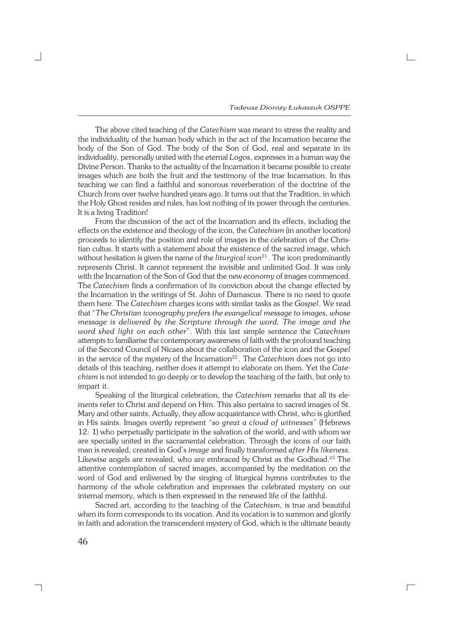*Tadeusz Dionizy Łukaszuk OSPPE*

The above cited teaching of the *Catechism* was meant to stress the reality and the individuality of the human body which in the act of the Incarnation became the body of the Son of God. The body of the Son of God, real and separate in its individuality, personally united with the eternal *Logos*, expresses in a human way the Divine Person. Thanks to the actuality of the Incarnation it became possible to create images which are both the fruit and the testimony of the true Incarnation. In this teaching we can find a faithful and sonorous reverberation of the doctrine of the Church from over twelve hundred years ago. It turns out that the Tradition, in which the Holy Ghost resides and rules, has lost nothing of its power through the centuries. It is a living Tradition!

From the discussion of the act of the Incarnation and its effects, including the effects on the existence and theology of the icon, the *Catechism* (in another location) proceeds to identify the position and role of images in the celebration of the Chris− tian cultus. It starts with a statement about the existence of the sacred image, which without hesitation is given the name of the *liturgical* icon<sup>21</sup>. The icon predominantly represents Christ. It cannot represent the invisible and unlimited God. It was only with the Incarnation of the Son of God that the new *economy* of images commenced. The *Catechism* finds a confirmation of its conviction about the change effected by the Incarnation in the writings of St. John of Damascus. There is no need to quote them here. The *Catechism* charges icons with similar tasks as the *Gospel*. We read that "*The Christian iconography prefers the evangelical message to images, whose message is delivered by the Scripture through the word. The image and the word shed light on each other*". With this last simple sentence the *Catechism* attempts to familiarise the contemporary awareness of faith with the profound teaching of the Second Council of Nicaea about the collaboration of the icon and the *Gospel* in the service of the mystery of the Incarnation<sup>22</sup>. The *Catechism* does not go into details of this teaching, neither does it attempt to elaborate on them. Yet the *Cate− chism* is not intended to go deeply or to develop the teaching of the faith, but only to impart it.

Speaking of the liturgical celebration, the *Catechism* remarks that all its ele− ments refer to Christ and depend on Him. This also pertains to sacred images of St. Mary and other saints. Actually, they allow acquaintance with Christ, who is glorified in His saints. Images overtly represent "*so great a cloud of witnesses*" (Hebrews 12:1) who perpetually participate in the salvation of the world, and with whom we are specially united in the sacramental celebration. Through the icons of our faith man is revealed, created in God's *image* and finally transformed *after His likeness*. Likewise angels are revealed, who are embraced by Christ as the Godhead.<sup>23</sup> The attentive contemplation of sacred images, accompanied by the meditation on the word of God and enlivened by the singing of liturgical hymns contributes to the harmony of the whole celebration and impresses the celebrated mystery on our internal memory, which is then expressed in the renewed life of the faithful.

Sacred art, according to the teaching of the *Catechism*, is true and beautiful when its form corresponds to its vocation. And its vocation is to summon and glorify in faith and adoration the transcendent mystery of God, which is the ultimate beauty

 $\Box$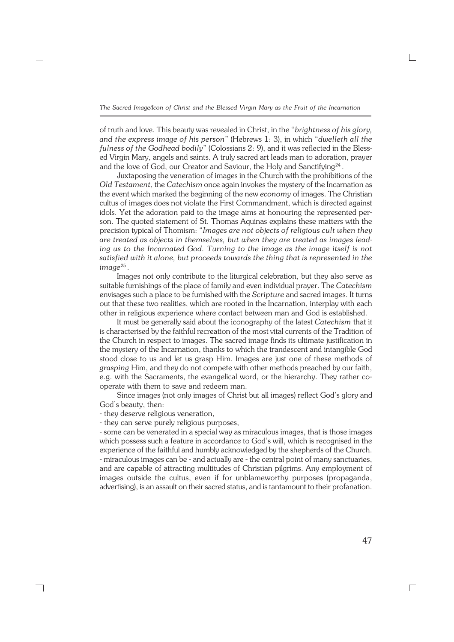of truth and love. This beauty was revealed in Christ, in the "*brightness of his glory, and the express image of his person*" (Hebrews 1: 3), in which "*dwelleth all the fulness of the Godhead bodily*" (Colossians 2: 9), and it was reflected in the Bless− ed Virgin Mary, angels and saints. A truly sacred art leads man to adoration, prayer and the love of God, our Creator and Saviour, the Holy and Sanctifying $^{24}$  .

Juxtaposing the veneration of images in the Church with the prohibitions of the *Old Testament*, the *Catechism* once again invokes the mystery of the Incarnation as the event which marked the beginning of the new *economy* of images. The Christian cultus of images does not violate the First Commandment, which is directed against idols. Yet the adoration paid to the image aims at honouring the represented per− son. The quoted statement of St. Thomas Aquinas explains these matters with the precision typical of Thomism: "*Images are not objects of religious cult when they are treated as objects in themselves, but when they are treated as images lead− ing us to the Incarnated God. Turning to the image as the image itself is not satisfied with it alone, but proceeds towards the thing that is represented in the image*<sup>25</sup> .

Images not only contribute to the liturgical celebration, but they also serve as suitable furnishings of the place of family and even individual prayer. The *Catechism* envisages such a place to be furnished with the *Scripture* and sacred images. It turns out that these two realities, which are rooted in the Incarnation, interplay with each other in religious experience where contact between man and God is established.

It must be generally said about the iconography of the latest *Catechism* that it is characterised by the faithful recreation of the most vital currents of the Tradition of the Church in respect to images. The sacred image finds its ultimate justification in the mystery of the Incarnation, thanks to which the trandescent and intangible God stood close to us and let us grasp Him. Images are just one of these methods of *grasping* Him, and they do not compete with other methods preached by our faith, e.g. with the Sacraments, the evangelical word, or the hierarchy. They rather co− operate with them to save and redeem man.

Since images (not only images of Christ but all images) reflect God's glory and God's beauty, then:

− they deserve religious veneration,

┑

− they can serve purely religious purposes,

− some can be venerated in a special way as miraculous images, that is those images which possess such a feature in accordance to God's will, which is recognised in the experience of the faithful and humbly acknowledged by the shepherds of the Church. − miraculous images can be − and actually are − the central point of many sanctuaries, and are capable of attracting multitudes of Christian pilgrims. Any employment of images outside the cultus, even if for unblameworthy purposes (propaganda, advertising), is an assault on their sacred status, and is tantamount to their profanation.

47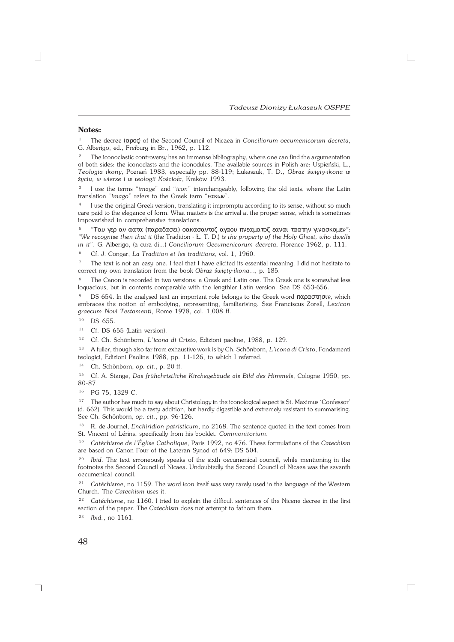#### **Notes:**

<sup>1</sup> The decree (αρος) of the Second Council of Nicaea in *Conciliorum oecumenicorum decreta*, G.Alberigo, ed., Freiburg in Br., 1962, p. 112.

<sup>2</sup> The iconoclastic controversy has an immense bibliography, where one can find the argumentation of both sides: the iconoclasts and the iconodules. The available sources in Polish are: Uspieński, L., *Teologia ikony*, Poznań 1983, especially pp. 88−119; Łukaszuk, T. D., *Obraz święty−ikona w życiu, w wierze i w teologii Kościoła*, Kraków 1993.

3 I use the terms "*image*" and "*icon*" interchangeably, following the old texts, where the Latin translation *"imago*" refers to the Greek term "εακων".

4 I use the original Greek version, translating it impromptu according to its sense, without so much care paid to the elegance of form. What matters is the arrival at the proper sense, which is sometimes impoverished in comprehensive translations.

<sup>5</sup> "Ταυ γερ αν αατα (παραδασει) οακασαντοζ αγαου πνεαµατοζ εαναι ταατην γινασκοµεν*": "We recognise then that it* (the Tradition − Ł. T. D.) *is the property of the Holy Ghost, who dwells in it*". G.Alberigo, (a cura di...) *Conciliorum Oecumenicorum decreta*, Florence 1962, p. 111.

<sup>6</sup> Cf. J. Congar, *La Tradition et les traditions*, vol. 1, 1960.

<sup>7</sup> The text is not an easy one. I feel that I have elicited its essential meaning. I did not hesitate to correct my own translation from the book *Obraz święty−ikona*..., p. 185.

The Canon is recorded in two versions: a Greek and Latin one. The Greek one is somewhat less loquacious, but in contents comparable with the lengthier Latin version. See DS 653−656.

DS 654. In the analysed text an important role belongs to the Greek word παραστησιν, which embraces the notion of embodying, representing, familiarising. See Franciscus Zorell, *Lexicon graecum Novi Testamenti*, Rome 1978, col. 1,008 ff.

<sup>10</sup> DS 655.

<sup>11</sup> Cf. DS 655 (Latin version).

<sup>12</sup> Cf. Ch. Schönborn, *L'icona di Cristo*, Edizioni paoline, 1988, p. 129.

<sup>13</sup> A fuller, though also far from exhaustive work is by Ch. Schönborn, *L'icona di Cristo*, Fondamenti teologici, Edizioni Paoline 1988, pp. 11−126, to which I referred.

<sup>14</sup> Ch. Schönborn, *op. cit*., p. 20 ff.

<sup>15</sup> Cf. A. Stange, *Das frühchristliche Kirchegebäude als Bild des Himmels*, Cologne 1950, pp. 80−87.

<sup>16</sup> PG 75, 1329 C.

<sup>17</sup> The author has much to say about Christology in the iconological aspect is St. Maximus 'Confessor' (d.662). This would be a tasty addition, but hardly digestible and extremely resistant to summarising. See Ch. Schönborn, *op. cit*., pp. 96−126.

<sup>18</sup> R. de Journel, *Enchiridion patristicum*, no 2168. The sentence quoted in the text comes from St. Vincent of Lérins, specifically from his booklet. *Commonitorium*.

<sup>19</sup> *Catéchisme de l'Église Catholique*, Paris 1992, no 476. These formulations of the *Catechism* are based on Canon Four of the Lateran Synod of 649: DS 504.

<sup>20</sup> *Ibid.* The text erroneously speaks of the sixth oecumenical council, while mentioning in the footnotes the Second Council of Nicaea. Undoubtedly the Second Council of Nicaea was the seventh oecumenical council.

<sup>21</sup> *Catéchism*e, no 1159. The word *icon* itself was very rarely used in the language of the Western Church. The *Catechism* uses it.

<sup>22</sup> *Catéchisme*, no 1160. I tried to explain the difficult sentences of the Nicene decree in the first section of the paper. The *Catechism* does not attempt to fathom them.

 $\Gamma$ 

<sup>23</sup> *Ibid.*, no 1161.

┓